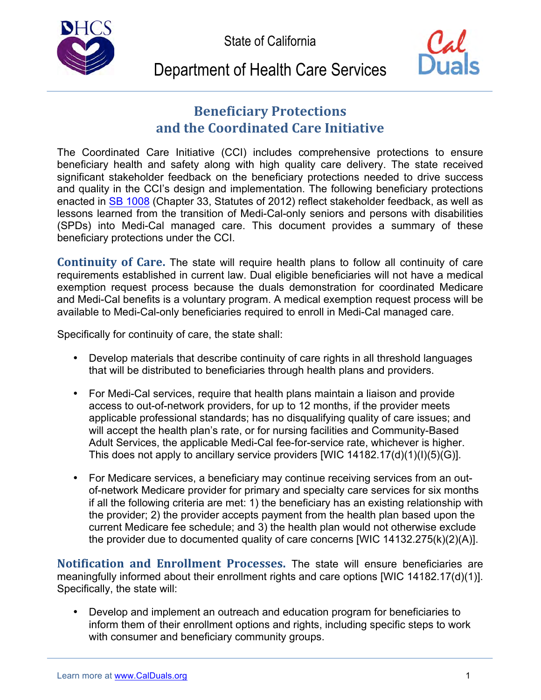State of California





## Department of Health Care Services

## **Beneficiary Protections and the Coordinated Care Initiative**

 The Coordinated Care Initiative (CCI) includes comprehensive protections to ensure beneficiary health and safety along with high quality care delivery. The state received significant stakeholder feedback on the beneficiary protections needed to drive success and quality in the CCI's design and implementation. The following beneficiary protections enacted in SB 1008 (Chapter 33, Statutes of 2012) reflect stakeholder feedback, as well as lessons learned from the transition of Medi-Cal-only seniors and persons with disabilities (SPDs) into Medi-Cal managed care. This document provides a summary of these beneficiary protections under the CCI.

Continuity of Care. The state will require health plans to follow all continuity of care requirements established in current law. Dual eligible beneficiaries will not have a medical exemption request process because the duals demonstration for coordinated Medicare and Medi-Cal benefits is a voluntary program. A medical exemption request process will be available to Medi-Cal-only beneficiaries required to enroll in Medi-Cal managed care.

Specifically for continuity of care, the state shall:

- Develop materials that describe continuity of care rights in all threshold languages that will be distributed to beneficiaries through health plans and providers.
- For Medi-Cal services, require that health plans maintain a liaison and provide access to out-of-network providers, for up to 12 months, if the provider meets applicable professional standards; has no disqualifying quality of care issues; and will accept the health plan's rate, or for nursing facilities and Community-Based Adult Services, the applicable Medi-Cal fee-for-service rate, whichever is higher. This does not apply to ancillary service providers [WIC 14182.17(d)(1)(l)(5)(G)].
- For Medicare services, a beneficiary may continue receiving services from an out- of-network Medicare provider for primary and specialty care services for six months if all the following criteria are met: 1) the beneficiary has an existing relationship with the provider; 2) the provider accepts payment from the health plan based upon the current Medicare fee schedule; and 3) the health plan would not otherwise exclude the provider due to documented quality of care concerns [WIC 14132.275(k)(2)(A)].

 **Notification and Enrollment Processes.** The state will ensure beneficiaries are meaningfully informed about their enrollment rights and care options [WIC 14182.17(d)(1)]. Specifically, the state will:

 $\bullet$  inform them of their enrollment options and rights, including specific steps to work with consumer and beneficiary community groups. Develop and implement an outreach and education program for beneficiaries to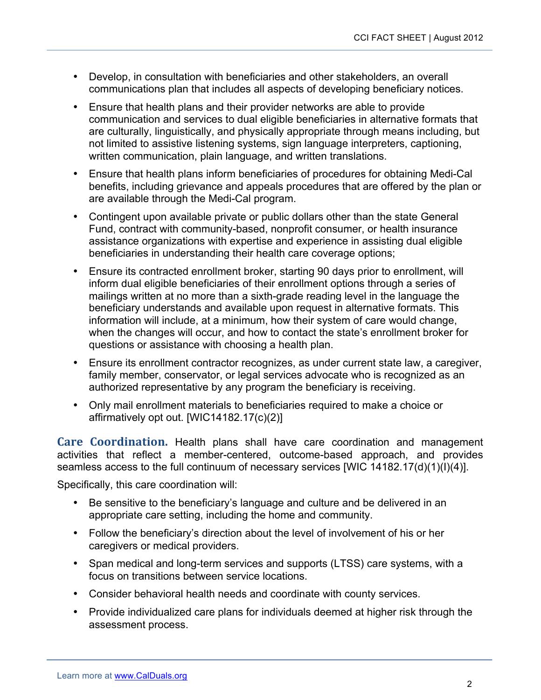- Develop, in consultation with beneficiaries and other stakeholders, an overall communications plan that includes all aspects of developing beneficiary notices.
- Ensure that health plans and their provider networks are able to provide communication and services to dual eligible beneficiaries in alternative formats that are culturally, linguistically, and physically appropriate through means including, but not limited to assistive listening systems, sign language interpreters, captioning, written communication, plain language, and written translations.
- Ensure that health plans inform beneficiaries of procedures for obtaining Medi-Cal benefits, including grievance and appeals procedures that are offered by the plan or are available through the Medi-Cal program.
- Contingent upon available private or public dollars other than the state General Fund, contract with community-based, nonprofit consumer, or health insurance assistance organizations with expertise and experience in assisting dual eligible beneficiaries in understanding their health care coverage options;
- inform dual eligible beneficiaries of their enrollment options through a series of mailings written at no more than a sixth-grade reading level in the language the beneficiary understands and available upon request in alternative formats. This information will include, at a minimum, how their system of care would change, when the changes will occur, and how to contact the state's enrollment broker for questions or assistance with choosing a health plan. Ensure its contracted enrollment broker, starting 90 days prior to enrollment, will
- Ensure its enrollment contractor recognizes, as under current state law, a caregiver, family member, conservator, or legal services advocate who is recognized as an authorized representative by any program the beneficiary is receiving.
- Only mail enrollment materials to beneficiaries required to make a choice or affirmatively opt out. [WIC14182.17(c)(2)]

 **Care Coordination.** Health plans shall have care coordination and management activities that reflect a member-centered, outcome-based approach, and provides seamless access to the full continuum of necessary services [WIC 14182.17(d)(1)(I)(4)].

Specifically, this care coordination will:

- Be sensitive to the beneficiary's language and culture and be delivered in an appropriate care setting, including the home and community.
- • Follow the beneficiary's direction about the level of involvement of his or her caregivers or medical providers.
- Span medical and long-term services and supports (LTSS) care systems, with a focus on transitions between service locations.
- • Consider behavioral health needs and coordinate with county services.
- Provide individualized care plans for individuals deemed at higher risk through the assessment process.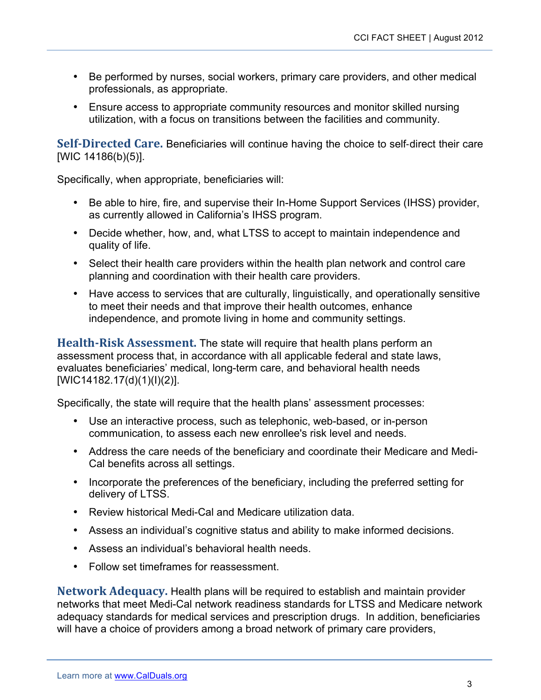- Be performed by nurses, social workers, primary care providers, and other medical professionals, as appropriate.
- Ensure access to appropriate community resources and monitor skilled nursing utilization, with a focus on transitions between the facilities and community.

Self-Directed Care. Beneficiaries will continue having the choice to self-direct their care [WIC 14186(b)(5)].

Specifically, when appropriate, beneficiaries will:

- Be able to hire, fire, and supervise their In-Home Support Services (IHSS) provider, as currently allowed in California's IHSS program.
- Decide whether, how, and, what LTSS to accept to maintain independence and quality of life.
- Select their health care providers within the health plan network and control care planning and coordination with their health care providers.
- Have access to services that are culturally, linguistically, and operationally sensitive to meet their needs and that improve their health outcomes, enhance independence, and promote living in home and community settings.

**Health-Risk Assessment.** The state will require that health plans perform an assessment process that, in accordance with all applicable federal and state laws, evaluates beneficiaries' medical, long-term care, and behavioral health needs [WIC14182.17(d)(1)(l)(2)].

Specifically, the state will require that the health plans' assessment processes:

- Use an interactive process, such as telephonic, web-based, or in-person communication, to assess each new enrollee's risk level and needs.
- • Address the care needs of the beneficiary and coordinate their Medicare and Medi-Cal benefits across all settings.
- Incorporate the preferences of the beneficiary, including the preferred setting for delivery of LTSS.
- • Review historical Medi-Cal and Medicare utilization data.
- • Assess an individual's cognitive status and ability to make informed decisions.
- • Assess an individual's behavioral health needs.
- • Follow set timeframes for reassessment.

 **Network Adequacy.** Health plans will be required to establish and maintain provider networks that meet Medi-Cal network readiness standards for LTSS and Medicare network adequacy standards for medical services and prescription drugs. In addition, beneficiaries will have a choice of providers among a broad network of primary care providers,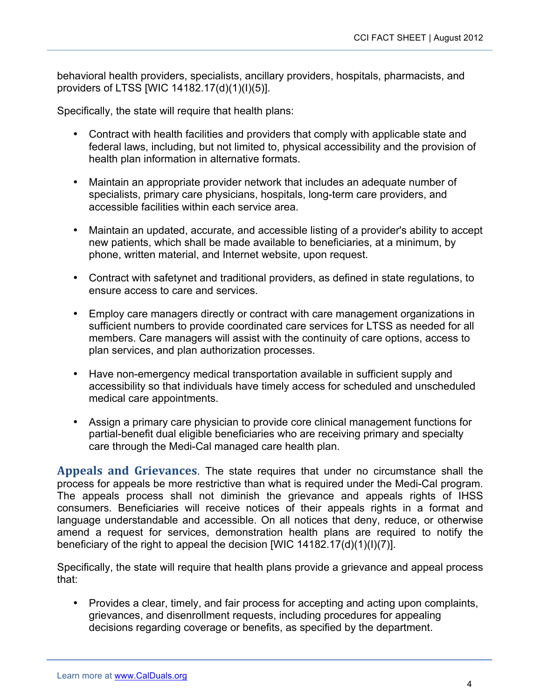behavioral health providers, specialists, ancillary providers, hospitals, pharmacists, and providers of LTSS [WIC 14182.17(d)(1)(I)(5)].

Specifically, the state will require that health plans:

- Contract with health facilities and providers that comply with applicable state and federal laws, including, but not limited to, physical accessibility and the provision of health plan information in alternative formats.
- $\bullet$  specialists, primary care physicians, hospitals, long-term care providers, and accessible facilities within each service area. Maintain an appropriate provider network that includes an adequate number of
- Maintain an updated, accurate, and accessible listing of a provider's ability to accept new patients, which shall be made available to beneficiaries, at a minimum, by phone, written material, and Internet website, upon request.
- • Contract with safetynet and traditional providers, as defined in state regulations, to ensure access to care and services.
- $\bullet$  sufficient numbers to provide coordinated care services for LTSS as needed for all members. Care managers will assist with the continuity of care options, access to plan services, and plan authorization processes. Employ care managers directly or contract with care management organizations in
- Have non-emergency medical transportation available in sufficient supply and accessibility so that individuals have timely access for scheduled and unscheduled medical care appointments.
- • Assign a primary care physician to provide core clinical management functions for partial-benefit dual eligible beneficiaries who are receiving primary and specialty care through the Medi-Cal managed care health plan.

 **Appeals and Grievances**. The state requires that under no circumstance shall the process for appeals be more restrictive than what is required under the Medi-Cal program. The appeals process shall not diminish the grievance and appeals rights of IHSS consumers. Beneficiaries will receive notices of their appeals rights in a format and language understandable and accessible. On all notices that deny, reduce, or otherwise amend a request for services, demonstration health plans are required to notify the beneficiary of the right to appeal the decision [WIC 14182.17(d)(1)(I)(7)].

 Specifically, the state will require that health plans provide a grievance and appeal process that:

• Provides a clear, timely, and fair process for accepting and acting upon complaints, grievances, and disenrollment requests, including procedures for appealing decisions regarding coverage or benefits, as specified by the department.